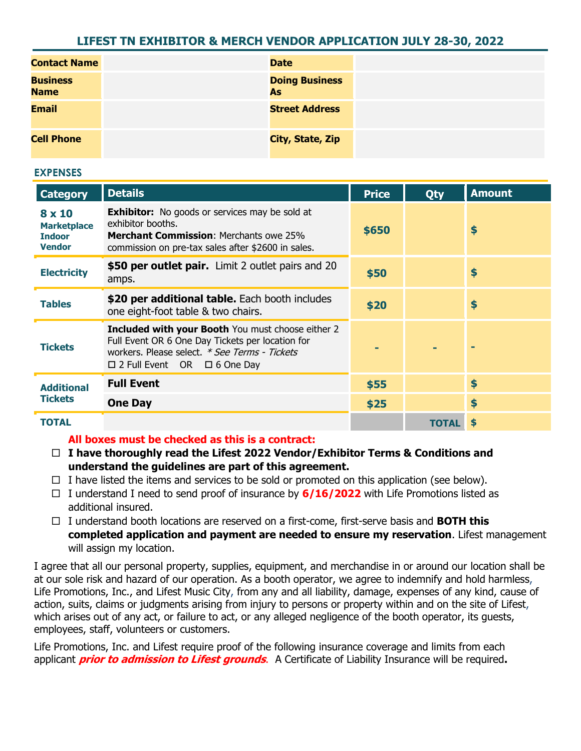# **LIFEST TN EXHIBITOR & MERCH VENDOR APPLICATION JULY 28-30, 2022**

| <b>Contact Name</b>            | <b>Date</b>                 |
|--------------------------------|-----------------------------|
| <b>Business</b><br><b>Name</b> | <b>Doing Business</b><br>As |
| <b>Email</b>                   | <b>Street Address</b>       |
| <b>Cell Phone</b>              | City, State, Zip            |

#### **EXPENSES**

| <b>Category</b>                                                       | <b>Details</b>                                                                                                                                                                                           | <b>Price</b> | Qty  | <b>Amount</b> |
|-----------------------------------------------------------------------|----------------------------------------------------------------------------------------------------------------------------------------------------------------------------------------------------------|--------------|------|---------------|
| $8 \times 10$<br><b>Marketplace</b><br><b>Indoor</b><br><b>Vendor</b> | <b>Exhibitor:</b> No goods or services may be sold at<br>exhibitor booths.<br><b>Merchant Commission:</b> Merchants owe 25%<br>commission on pre-tax sales after \$2600 in sales.                        | \$650        |      | \$            |
| <b>Electricity</b>                                                    | \$50 per outlet pair. Limit 2 outlet pairs and 20<br>amps.                                                                                                                                               | \$50         |      | \$            |
| <b>Tables</b>                                                         | \$20 per additional table. Each booth includes<br>one eight-foot table & two chairs.                                                                                                                     | \$20         |      | \$            |
| <b>Tickets</b>                                                        | <b>Included with your Booth You must choose either 2</b><br>Full Event OR 6 One Day Tickets per location for<br>workers. Please select. * See Terms - Tickets<br>$\Box$ 2 Full Event OR $\Box$ 6 One Day |              |      |               |
| <b>Additional</b><br><b>Tickets</b>                                   | <b>Full Event</b>                                                                                                                                                                                        | \$55         |      | \$            |
|                                                                       | <b>One Day</b>                                                                                                                                                                                           | \$25         |      | \$            |
| TOTAL                                                                 |                                                                                                                                                                                                          |              | TOTA |               |

## **All boxes must be checked as this is a contract:**

- **I have thoroughly read the Lifest 2022 Vendor/Exhibitor Terms & Conditions and understand the guidelines are part of this agreement.**
- $\Box$  I have listed the items and services to be sold or promoted on this application (see below).
- I understand I need to send proof of insurance by **6/16/2022** with Life Promotions listed as additional insured.
- I understand booth locations are reserved on a first-come, first-serve basis and **BOTH this completed application and payment are needed to ensure my reservation**. Lifest management will assign my location.

I agree that all our personal property, supplies, equipment, and merchandise in or around our location shall be at our sole risk and hazard of our operation. As a booth operator, we agree to indemnify and hold harmless, Life Promotions, Inc., and Lifest Music City, from any and all liability, damage, expenses of any kind, cause of action, suits, claims or judgments arising from injury to persons or property within and on the site of Lifest, which arises out of any act, or failure to act, or any alleged negligence of the booth operator, its guests, employees, staff, volunteers or customers.

Life Promotions, Inc. and Lifest require proof of the following insurance coverage and limits from each applicant **prior to admission to Lifest grounds**. A Certificate of Liability Insurance will be required**.**